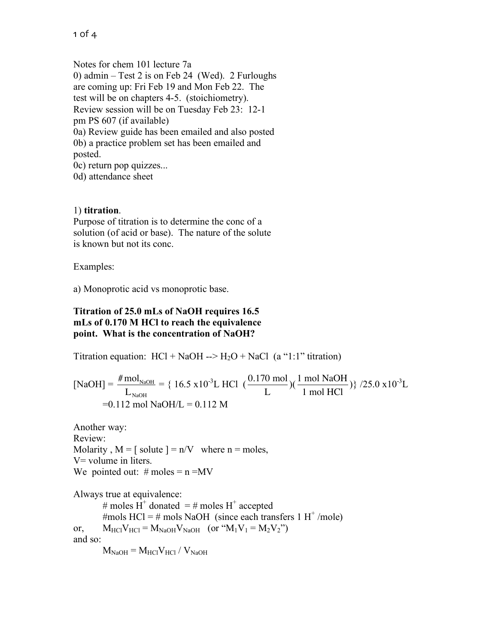Notes for chem 101 lecture 7a 0) admin – Test 2 is on Feb 24 (Wed). 2 Furloughs are coming up: Fri Feb 19 and Mon Feb 22. The test will be on chapters 4-5. (stoichiometry). Review session will be on Tuesday Feb 23: 12-1 pm PS 607 (if available) 0a) Review guide has been emailed and also posted 0b) a practice problem set has been emailed and posted. 0c) return pop quizzes...

0d) attendance sheet

## 1) **titration**.

Purpose of titration is to determine the conc of a solution (of acid or base). The nature of the solute is known but not its conc.

Examples:

a) Monoprotic acid vs monoprotic base.

## **Titration of 25.0 mLs of NaOH requires 16.5 mLs of 0.170 M HCl to reach the equivalence point. What is the concentration of NaOH?**

Titration equation:  $HCl + NaOH \rightarrow H<sub>2</sub>O + NaCl$  (a "1:1" titration)

$$
[NaOH] = \frac{\# mol_{NaOH}}{L_{NaOH}} = \{ 16.5 \times 10^{-3} L \text{ HCl } (\frac{0.170 \text{ mol}}{L})(\frac{1 \text{ mol NaOH}}{1 \text{ mol HCl}}) \} / 25.0 \times 10^{-3} L
$$
  
=0.112 mol NaOH/L = 0.112 M

Review: Another way: Molarity,  $M = \int_0^{\infty} \text{solve } = n/V$  where  $n = \text{moles}$ , V= volume in liters. We pointed out:  $\#$  moles = n =MV

Always true at equivalence: # moles H<sup>+</sup> donated = # moles H<sup>+</sup> accepted #mols HCl = # mols NaOH (since each transfers  $1 H<sup>+</sup>$ /mole) or,  $M_{\text{HC}}V_{\text{HC}} = M_{\text{NaOH}}V_{\text{NaOH}}$  (or " $M_1V_1 = M_2V_2$ ") and so:  $M_{\text{NaOH}} = M_{\text{HCl}} V_{\text{HCl}} / V_{\text{NaOH}}$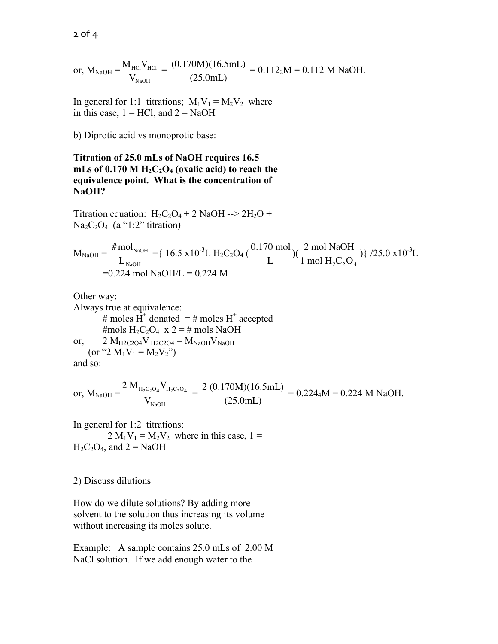$2$  of  $4$ 

or, 
$$
M_{\text{NaOH}} = \frac{M_{\text{HCl}}V_{\text{HCl}}}{V_{\text{NaOH}}} = \frac{(0.170 \text{M})(16.5 \text{mL})}{(25.0 \text{mL})} = 0.112_2 \text{M} = 0.112 \text{ M NaOH}.
$$

In general for 1:1 titrations;  $M_1V_1 = M_2V_2$  where in this case,  $1 = HCl$ , and  $2 = NaOH$ 

b) Diprotic acid vs monoprotic base:

## **Titration of 25.0 mLs of NaOH requires 16.5**   $mLs$  of 0.170 M  $H_2C_2O_4$  (oxalic acid) to reach the **equivalence point. What is the concentration of NaOH?**

Titration equation:  $H_2C_2O_4 + 2$  NaOH -->  $2H_2O$  +  $Na<sub>2</sub>C<sub>2</sub>O<sub>4</sub>$  (a "1:2" titration)

$$
M_{NaOH} = \frac{\# mol_{NaOH}}{L_{NaOH}} = \{ 16.5 \times 10^{-3} L H_2 C_2 O_4 \left( \frac{0.170 \text{ mol}}{L} \right) \left( \frac{2 \text{ mol NaOH}}{1 \text{ mol } H_2 C_2 O_4} \right) \} / 25.0 \times 10^{-3} L
$$
  
= 0.224 mol NaOH/L = 0.224 M

Always true at equivalence: Other way: # moles  $H^+$  donated = # moles  $H^+$  accepted #mols H<sub>2</sub>C<sub>2</sub>O<sub>4</sub> x 2 = # mols NaOH or,  $2 M_{H2C2O4}V_{H2C2O4} = M_{NaOH}V_{NaOH}$ (or "2  $M_1V_1 = M_2V_2$ ")

and so:

$$
\text{or, } M_{\text{NaOH}} = \frac{2 \ M_{\text{H}_2\text{C}_2\text{O}_4} \ V_{\text{H}_2\text{C}_2\text{O}_4}}{V_{\text{NaOH}}} = \frac{2 \ (0.170 \text{M})(16.5 \text{mL})}{(25.0 \text{mL})} = 0.2244 \text{M} = 0.224 \text{ M NaOH}.
$$

 $H_2C_2O_4$ , and  $2 = NaOH$ In general for 1:2 titrations:  $2 M_1V_1 = M_2V_2$  where in this case,  $1 =$ 

2) Discuss dilutions

How do we dilute solutions? By adding more solvent to the solution thus increasing its volume without increasing its moles solute.

Example: A sample contains 25.0 mLs of 2.00 M NaCl solution. If we add enough water to the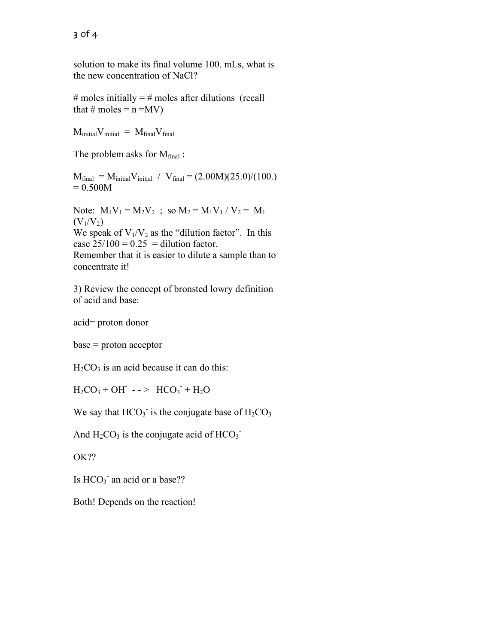solution to make its final volume 100. mLs, what is the new concentration of NaCl?

# moles initially  $=$  # moles after dilutions (recall that  $\#$  moles = n =MV)

 $M_{initial}V_{initial} = M_{final}V_{final}$ 

The problem asks for  $M_{final}$ :

 $M_{final} = M_{initial}V_{initial} / V_{final} = (2.00M)(25.0)/(100.)$  $= 0.500M$ 

Note:  $M_1V_1 = M_2V_2$ ; so  $M_2 = M_1V_1 / V_2 = M_1$  $(V_1/V_2)$ We speak of  $V_1/V_2$  as the "dilution factor". In this case  $25/100 = 0.25 =$  dilution factor. Remember that it is easier to dilute a sample than to concentrate it!

3) Review the concept of bronsted lowry definition of acid and base:

acid= proton donor

base = proton acceptor

 $H<sub>2</sub>CO<sub>3</sub>$  is an acid because it can do this:

 $H_2CO_3 + OH^-$  - - >  $HCO_3 + H_2O$ 

We say that  $HCO<sub>3</sub>$  is the conjugate base of  $H<sub>2</sub>CO<sub>3</sub>$ 

And  $H_2CO_3$  is the conjugate acid of  $HCO_3^-$ 

OK??

Is  $HCO<sub>3</sub>$  an acid or a base??

Both! Depends on the reaction!